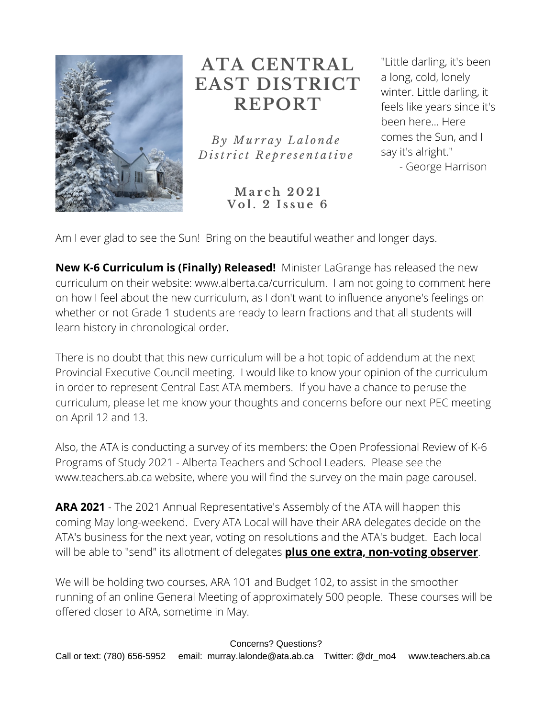

## **ATA CENTRAL EAST DISTRICT REPORT**

*B y Mu r r a y L a l o n d e D ist r i c t R e p r e s e n t a ti v e*

> **Ma r c h 2 0 2 1 V o l . 2 I s s u e 6**

"Little darling, it's been a long, cold, lonely winter. Little darling, it feels like years since it's been here... Here comes the Sun, and I say it's alright." - George Harrison

Am I ever glad to see the Sun! Bring on the beautiful weather and longer days.

**New K-6 Curriculum is (Finally) Released!** Minister LaGrange has released the new curriculum on their website: www.alberta.ca/curriculum. I am not going to comment here on how I feel about the new curriculum, as I don't want to influence anyone's feelings on whether or not Grade 1 students are ready to learn fractions and that all students will learn history in chronological order.

There is no doubt that this new curriculum will be a hot topic of addendum at the next Provincial Executive Council meeting. I would like to know your opinion of the curriculum in order to represent Central East ATA members. If you have a chance to peruse the curriculum, please let me know your thoughts and concerns before our next PEC meeting on April 12 and 13.

Also, the ATA is conducting a survey of its members: the Open Professional Review of K-6 Programs of Study 2021 - Alberta Teachers and School Leaders. Please see the www.teachers.ab.ca website, where you will find the survey on the main page carousel.

**ARA 2021** - The 2021 Annual Representative's Assembly of the ATA will happen this coming May long-weekend. Every ATA Local will have their ARA delegates decide on the ATA's business for the next year, voting on resolutions and the ATA's budget. Each local will be able to "send" its allotment of delegates **plus one extra, non-voting observer**.

We will be holding two courses, ARA 101 and Budget 102, to assist in the smoother running of an online General Meeting of approximately 500 people. These courses will be offered closer to ARA, sometime in May.

Concerns? Questions?

Call or text: (780) 656-5952 email: murray.lalonde@ata.ab.ca Twitter: @dr\_mo4 www.teachers.ab.ca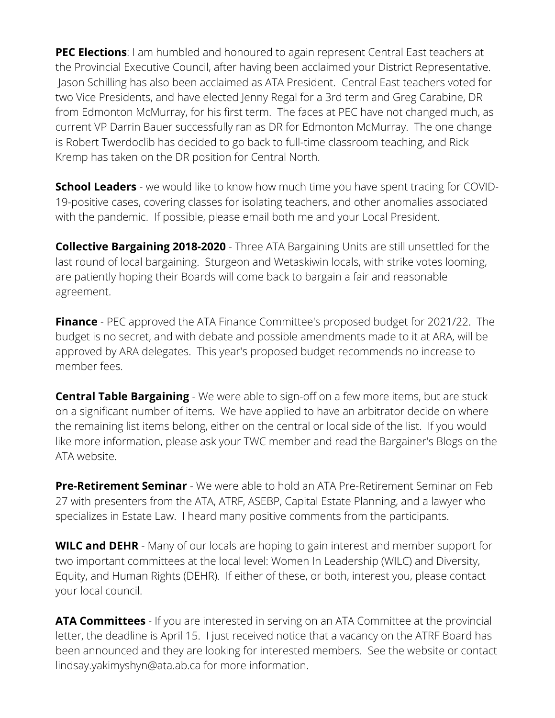**PEC Elections**: I am humbled and honoured to again represent Central East teachers at the Provincial Executive Council, after having been acclaimed your District Representative. Jason Schilling has also been acclaimed as ATA President. Central East teachers voted for two Vice Presidents, and have elected Jenny Regal for a 3rd term and Greg Carabine, DR from Edmonton McMurray, for his first term. The faces at PEC have not changed much, as current VP Darrin Bauer successfully ran as DR for Edmonton McMurray. The one change is Robert Twerdoclib has decided to go back to full-time classroom teaching, and Rick Kremp has taken on the DR position for Central North.

**School Leaders** - we would like to know how much time you have spent tracing for COVID-19-positive cases, covering classes for isolating teachers, and other anomalies associated with the pandemic. If possible, please email both me and your Local President.

**Collective Bargaining 2018-2020** - Three ATA Bargaining Units are still unsettled for the last round of local bargaining. Sturgeon and Wetaskiwin locals, with strike votes looming, are patiently hoping their Boards will come back to bargain a fair and reasonable agreement.

**Finance** - PEC approved the ATA Finance Committee's proposed budget for 2021/22. The budget is no secret, and with debate and possible amendments made to it at ARA, will be approved by ARA delegates. This year's proposed budget recommends no increase to member fees.

**Central Table Bargaining** - We were able to sign-off on a few more items, but are stuck on a significant number of items. We have applied to have an arbitrator decide on where the remaining list items belong, either on the central or local side of the list. If you would like more information, please ask your TWC member and read the Bargainer's Blogs on the ATA website.

**Pre-Retirement Seminar** - We were able to hold an ATA Pre-Retirement Seminar on Feb 27 with presenters from the ATA, ATRF, ASEBP, Capital Estate Planning, and a lawyer who specializes in Estate Law. I heard many positive comments from the participants.

**WILC and DEHR** - Many of our locals are hoping to gain interest and member support for two important committees at the local level: Women In Leadership (WILC) and Diversity, Equity, and Human Rights (DEHR). If either of these, or both, interest you, please contact your local council.

**ATA Committees** - If you are interested in serving on an ATA Committee at the provincial letter, the deadline is April 15. I just received notice that a vacancy on the ATRF Board has been announced and they are looking for interested members. See the website or contact lindsay.yakimyshyn@ata.ab.ca for more information.